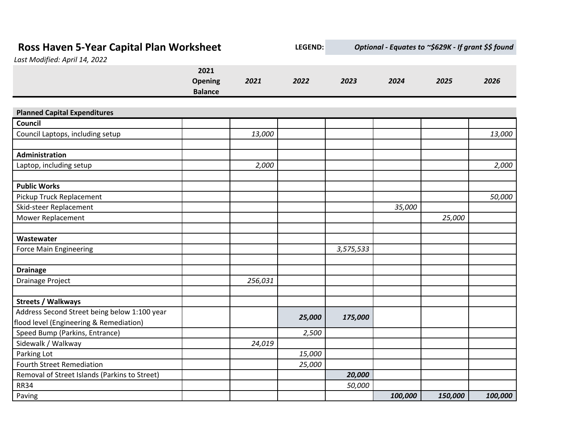| Ross Haven 5-Year Capital Plan Worksheet<br>Last Modified: April 14, 2022 |                                          | <b>LEGEND:</b> | Optional - Equates to ~\$629K - If grant \$\$ found |           |         |         |         |
|---------------------------------------------------------------------------|------------------------------------------|----------------|-----------------------------------------------------|-----------|---------|---------|---------|
|                                                                           | 2021<br><b>Opening</b><br><b>Balance</b> | 2021           | 2022                                                | 2023      | 2024    | 2025    | 2026    |
| <b>Planned Capital Expenditures</b>                                       |                                          |                |                                                     |           |         |         |         |
| Council                                                                   |                                          |                |                                                     |           |         |         |         |
| Council Laptops, including setup                                          |                                          | 13,000         |                                                     |           |         |         | 13,000  |
| <b>Administration</b>                                                     |                                          |                |                                                     |           |         |         |         |
| Laptop, including setup                                                   |                                          | 2,000          |                                                     |           |         |         | 2,000   |
| <b>Public Works</b>                                                       |                                          |                |                                                     |           |         |         |         |
| Pickup Truck Replacement                                                  |                                          |                |                                                     |           |         |         | 50,000  |
| Skid-steer Replacement                                                    |                                          |                |                                                     |           | 35,000  |         |         |
| Mower Replacement                                                         |                                          |                |                                                     |           |         | 25,000  |         |
|                                                                           |                                          |                |                                                     |           |         |         |         |
| Wastewater                                                                |                                          |                |                                                     |           |         |         |         |
| <b>Force Main Engineering</b>                                             |                                          |                |                                                     | 3,575,533 |         |         |         |
| <b>Drainage</b>                                                           |                                          |                |                                                     |           |         |         |         |
| Drainage Project                                                          |                                          | 256,031        |                                                     |           |         |         |         |
| <b>Streets / Walkways</b>                                                 |                                          |                |                                                     |           |         |         |         |
| Address Second Street being below 1:100 year                              |                                          |                |                                                     |           |         |         |         |
| flood level (Engineering & Remediation)                                   |                                          |                | 25,000                                              | 175,000   |         |         |         |
| Speed Bump (Parkins, Entrance)                                            |                                          |                | 2,500                                               |           |         |         |         |
| Sidewalk / Walkway                                                        |                                          | 24,019         |                                                     |           |         |         |         |
| Parking Lot                                                               |                                          |                | 15,000                                              |           |         |         |         |
| <b>Fourth Street Remediation</b>                                          |                                          |                | 25,000                                              |           |         |         |         |
| Removal of Street Islands (Parkins to Street)                             |                                          |                |                                                     | 20,000    |         |         |         |
| <b>RR34</b>                                                               |                                          |                |                                                     | 50,000    |         |         |         |
| Paving                                                                    |                                          |                |                                                     |           | 100,000 | 150,000 | 100,000 |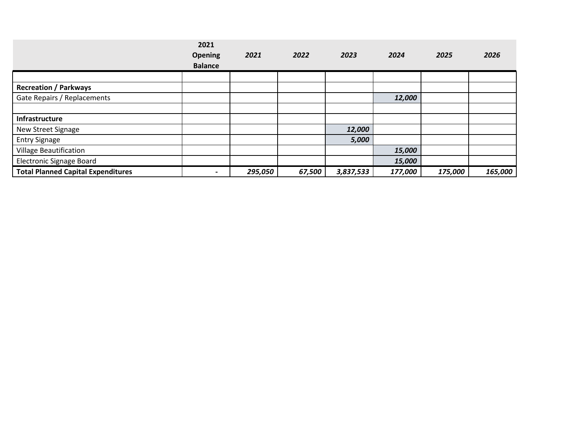|                                           | 2021<br>Opening<br><b>Balance</b> | 2021    | 2022   | 2023      | 2024    | 2025    | 2026    |
|-------------------------------------------|-----------------------------------|---------|--------|-----------|---------|---------|---------|
|                                           |                                   |         |        |           |         |         |         |
|                                           |                                   |         |        |           |         |         |         |
| <b>Recreation / Parkways</b>              |                                   |         |        |           |         |         |         |
| Gate Repairs / Replacements               |                                   |         |        |           | 12,000  |         |         |
|                                           |                                   |         |        |           |         |         |         |
| Infrastructure                            |                                   |         |        |           |         |         |         |
| New Street Signage                        |                                   |         |        | 12,000    |         |         |         |
| <b>Entry Signage</b>                      |                                   |         |        | 5,000     |         |         |         |
| <b>Village Beautification</b>             |                                   |         |        |           | 15,000  |         |         |
| <b>Electronic Signage Board</b>           |                                   |         |        |           | 15,000  |         |         |
| <b>Total Planned Capital Expenditures</b> | $\overline{\phantom{0}}$          | 295,050 | 67,500 | 3,837,533 | 177,000 | 175,000 | 165,000 |